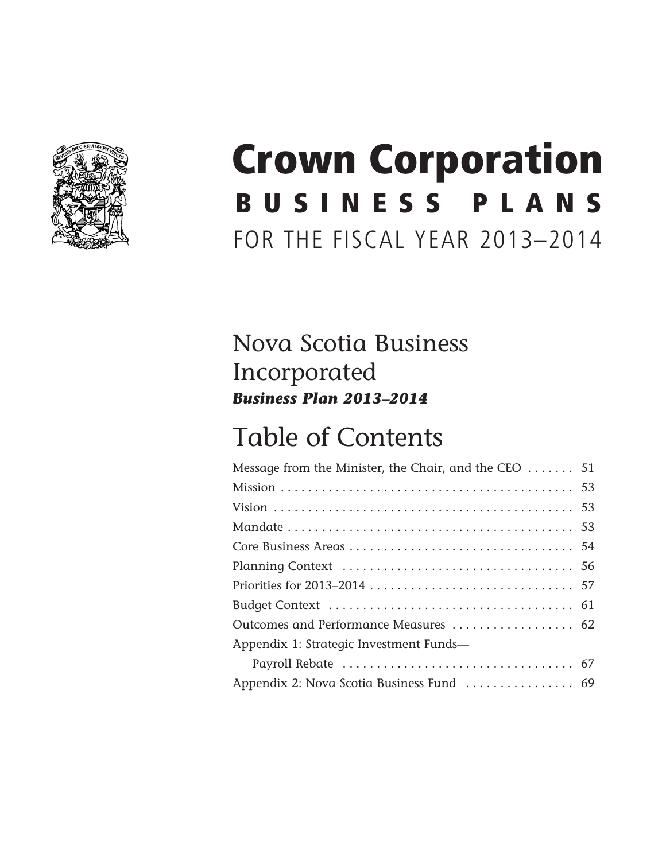

# BUSINESS PLANS FOR THE FISCAL YEAR 2013–2014 Crown Corporation

## Nova Scotia Business Incorporated *Business Plan 2013–2014*

# Table of Contents

| Message from the Minister, the Chair, and the CEO $\dots \dots 51$ |
|--------------------------------------------------------------------|
|                                                                    |
|                                                                    |
|                                                                    |
|                                                                    |
|                                                                    |
|                                                                    |
|                                                                    |
| Outcomes and Performance Measures  62                              |
|                                                                    |
|                                                                    |
|                                                                    |
|                                                                    |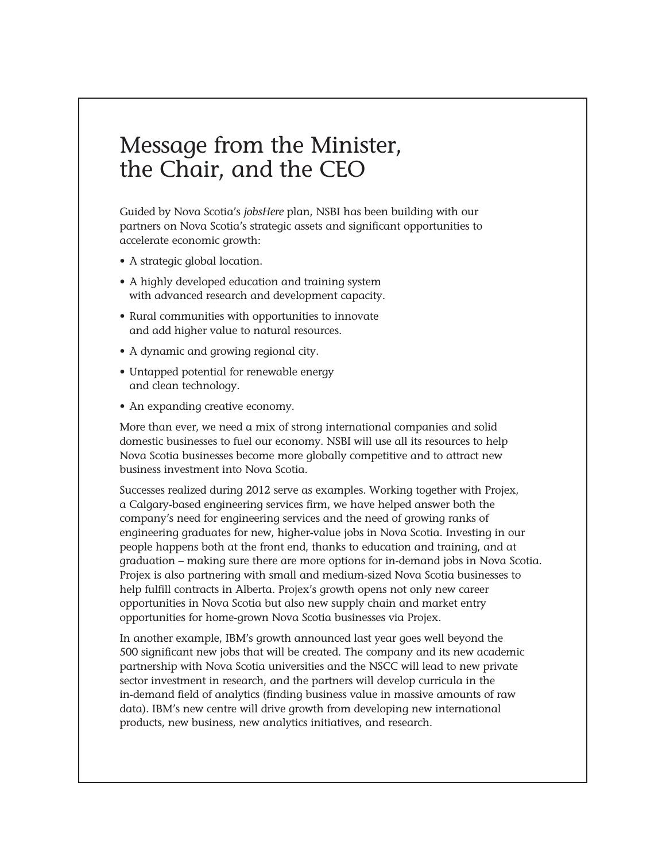### Message from the Minister, the Chair, and the CEO

Guided by Nova Scotia's *jobsHere* plan, NSBI has been building with our partners on Nova Scotia's strategic assets and significant opportunities to accelerate economic growth:

- A strategic global location.
- A highly developed education and training system with advanced research and development capacity.
- Rural communities with opportunities to innovate and add higher value to natural resources.
- A dynamic and growing regional city.
- Untapped potential for renewable energy and clean technology.
- An expanding creative economy.

More than ever, we need a mix of strong international companies and solid domestic businesses to fuel our economy. NSBI will use all its resources to help Nova Scotia businesses become more globally competitive and to attract new business investment into Nova Scotia.

Successes realized during 2012 serve as examples. Working together with Projex, a Calgary-based engineering services firm, we have helped answer both the company's need for engineering services and the need of growing ranks of engineering graduates for new, higher-value jobs in Nova Scotia. Investing in our people happens both at the front end, thanks to education and training, and at graduation – making sure there are more options for in-demand jobs in Nova Scotia. Projex is also partnering with small and medium-sized Nova Scotia businesses to help fulfill contracts in Alberta. Projex's growth opens not only new career opportunities in Nova Scotia but also new supply chain and market entry opportunities for home-grown Nova Scotia businesses via Projex.

In another example, IBM's growth announced last year goes well beyond the 500 significant new jobs that will be created. The company and its new academic partnership with Nova Scotia universities and the NSCC will lead to new private sector investment in research, and the partners will develop curricula in the in-demand field of analytics (finding business value in massive amounts of raw data). IBM's new centre will drive growth from developing new international products, new business, new analytics initiatives, and research.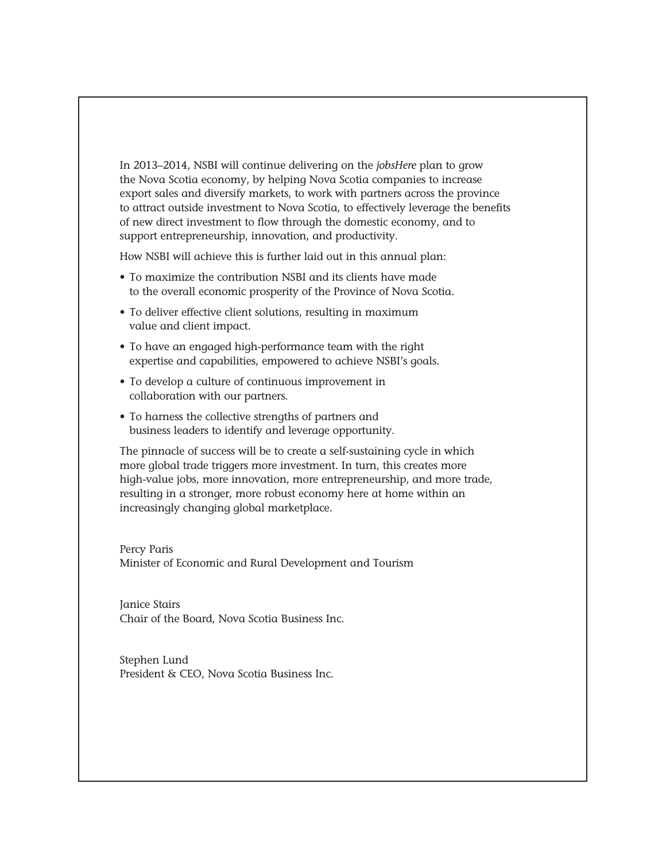In 2013–2014, NSBI will continue delivering on the *jobsHere* plan to grow the Nova Scotia economy, by helping Nova Scotia companies to increase export sales and diversify markets, to work with partners across the province to attract outside investment to Nova Scotia, to effectively leverage the benefits of new direct investment to flow through the domestic economy, and to support entrepreneurship, innovation, and productivity.

How NSBI will achieve this is further laid out in this annual plan:

- To maximize the contribution NSBI and its clients have made to the overall economic prosperity of the Province of Nova Scotia.
- To deliver effective client solutions, resulting in maximum value and client impact.
- To have an engaged high-performance team with the right expertise and capabilities, empowered to achieve NSBI's goals.
- To develop a culture of continuous improvement in collaboration with our partners.
- To harness the collective strengths of partners and business leaders to identify and leverage opportunity.

The pinnacle of success will be to create a self-sustaining cycle in which more global trade triggers more investment. In turn, this creates more high-value jobs, more innovation, more entrepreneurship, and more trade, resulting in a stronger, more robust economy here at home within an increasingly changing global marketplace.

Percy Paris Minister of Economic and Rural Development and Tourism

Janice Stairs Chair of the Board, Nova Scotia Business Inc.

Stephen Lund President & CEO, Nova Scotia Business Inc.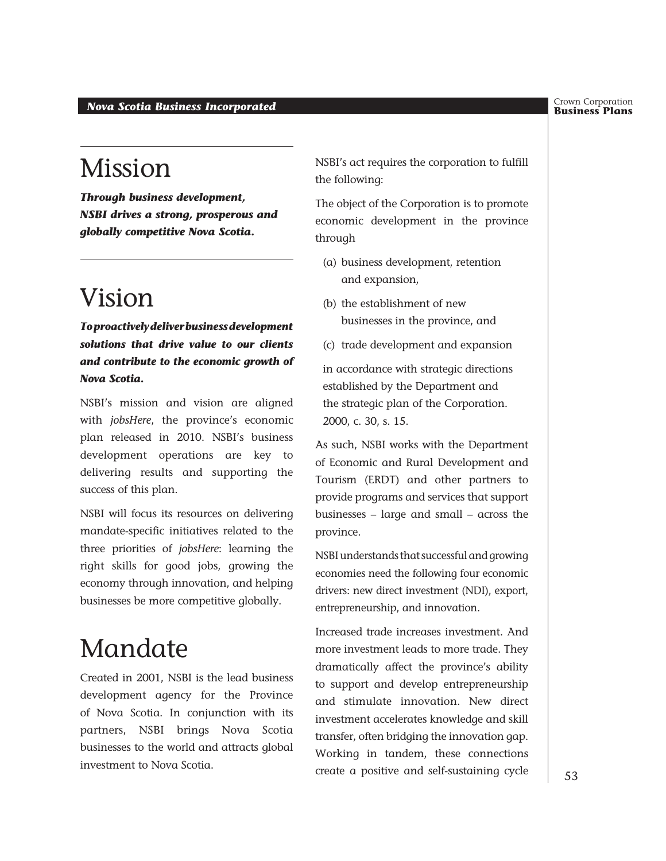#### **Business Plans** *Nova Scotia Business Incorporated*

## Mission

*Through business development, NSBI drives a strong, prosperous and globally competitive Nova Scotia.*

## Vision

*To proactively deliver business development solutions that drive value to our clients and contribute to the economic growth of Nova Scotia.*

NSBI's mission and vision are aligned with *jobsHere*, the province's economic plan released in 2010. NSBI's business development operations are key to delivering results and supporting the success of this plan.

NSBI will focus its resources on delivering mandate-specific initiatives related to the three priorities of *jobsHere*: learning the right skills for good jobs, growing the economy through innovation, and helping businesses be more competitive globally.

## Mandate

Created in 2001, NSBI is the lead business development agency for the Province of Nova Scotia. In conjunction with its partners, NSBI brings Nova Scotia businesses to the world and attracts global investment to Nova Scotia.

NSBI's act requires the corporation to fulfill the following:

The object of the Corporation is to promote economic development in the province through

- (a) business development, retention and expansion,
- (b) the establishment of new businesses in the province, and
- (c) trade development and expansion

in accordance with strategic directions established by the Department and the strategic plan of the Corporation. 2000, c. 30, s. 15.

As such, NSBI works with the Department of Economic and Rural Development and Tourism (ERDT) and other partners to provide programs and services that support businesses – large and small – across the province.

NSBI understands that successful and growing economies need the following four economic drivers: new direct investment (NDI), export, entrepreneurship, and innovation.

Increased trade increases investment. And more investment leads to more trade. They dramatically affect the province's ability to support and develop entrepreneurship and stimulate innovation. New direct investment accelerates knowledge and skill transfer, often bridging the innovation gap. Working in tandem, these connections create a positive and self-sustaining cycle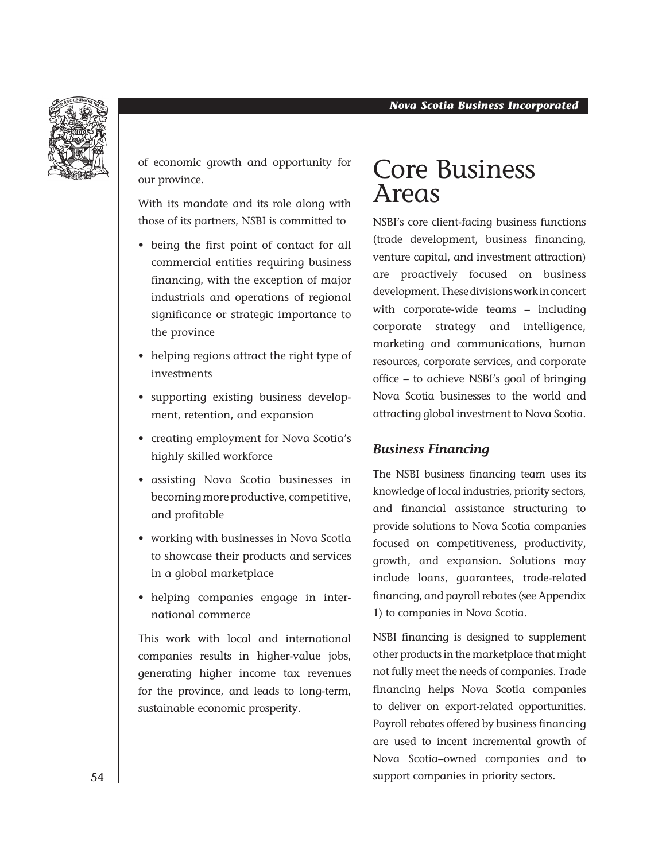

of economic growth and opportunity for our province.

With its mandate and its role along with those of its partners, NSBI is committed to

- being the first point of contact for all commercial entities requiring business financing, with the exception of major industrials and operations of regional significance or strategic importance to the province
- helping regions attract the right type of investments
- supporting existing business development, retention, and expansion
- creating employment for Nova Scotia's highly skilled workforce
- assisting Nova Scotia businesses in becoming more productive, competitive, and profitable
- working with businesses in Nova Scotia to showcase their products and services in a global marketplace
- helping companies engage in international commerce

This work with local and international companies results in higher-value jobs, generating higher income tax revenues for the province, and leads to long-term, sustainable economic prosperity.

## Core Business Areas

NSBI's core client-facing business functions (trade development, business financing, venture capital, and investment attraction) are proactively focused on business development. These divisions work in concert with corporate-wide teams – including corporate strategy and intelligence, marketing and communications, human resources, corporate services, and corporate office – to achieve NSBI's goal of bringing Nova Scotia businesses to the world and attracting global investment to Nova Scotia.

#### *Business Financing*

The NSBI business financing team uses its knowledge of local industries, priority sectors, and financial assistance structuring to provide solutions to Nova Scotia companies focused on competitiveness, productivity, growth, and expansion. Solutions may include loans, guarantees, trade-related financing, and payroll rebates (see Appendix 1) to companies in Nova Scotia.

NSBI financing is designed to supplement other products in the marketplace that might not fully meet the needs of companies. Trade financing helps Nova Scotia companies to deliver on export-related opportunities. Payroll rebates offered by business financing are used to incent incremental growth of Nova Scotia–owned companies and to support companies in priority sectors.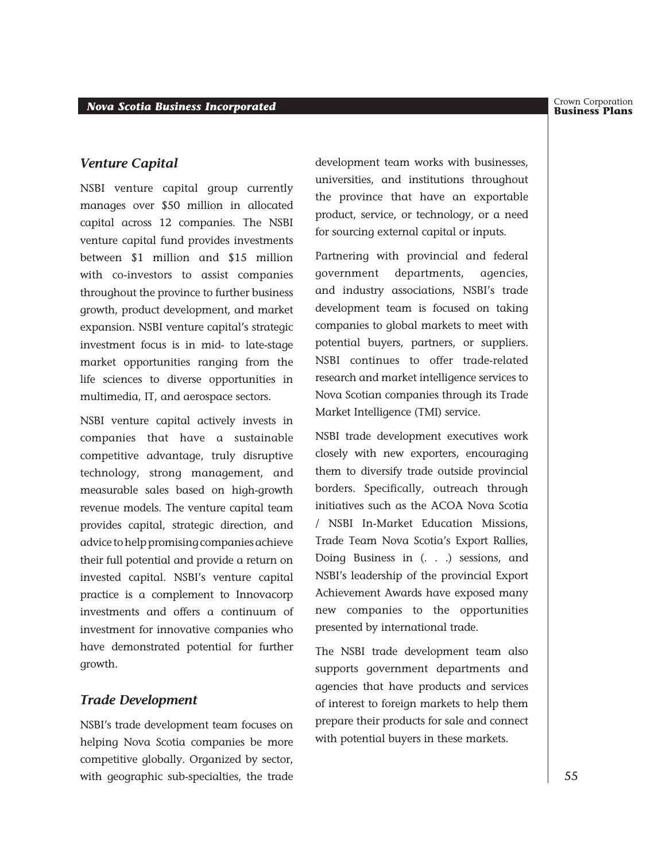#### *Venture Capital*

NSBI venture capital group currently manages over \$50 million in allocated capital across 12 companies. The NSBI venture capital fund provides investments between \$1 million and \$15 million with co-investors to assist companies throughout the province to further business growth, product development, and market expansion. NSBI venture capital's strategic investment focus is in mid- to late-stage market opportunities ranging from the life sciences to diverse opportunities in multimedia, IT, and aerospace sectors.

NSBI venture capital actively invests in companies that have a sustainable competitive advantage, truly disruptive technology, strong management, and measurable sales based on high-growth revenue models. The venture capital team provides capital, strategic direction, and advice to help promising companies achieve their full potential and provide a return on invested capital. NSBI's venture capital practice is a complement to Innovacorp investments and offers a continuum of investment for innovative companies who have demonstrated potential for further growth.

#### *Trade Development*

NSBI's trade development team focuses on helping Nova Scotia companies be more competitive globally. Organized by sector, with geographic sub-specialties, the trade

development team works with businesses, universities, and institutions throughout the province that have an exportable product, service, or technology, or a need for sourcing external capital or inputs.

Partnering with provincial and federal government departments, agencies, and industry associations, NSBI's trade development team is focused on taking companies to global markets to meet with potential buyers, partners, or suppliers. NSBI continues to offer trade-related research and market intelligence services to Nova Scotian companies through its Trade Market Intelligence (TMI) service.

NSBI trade development executives work closely with new exporters, encouraging them to diversify trade outside provincial borders. Specifically, outreach through initiatives such as the ACOA Nova Scotia / NSBI In-Market Education Missions, Trade Team Nova Scotia's Export Rallies, Doing Business in (...) sessions, and NSBI's leadership of the provincial Export Achievement Awards have exposed many new companies to the opportunities presented by international trade.

The NSBI trade development team also supports government departments and agencies that have products and services of interest to foreign markets to help them prepare their products for sale and connect with potential buyers in these markets.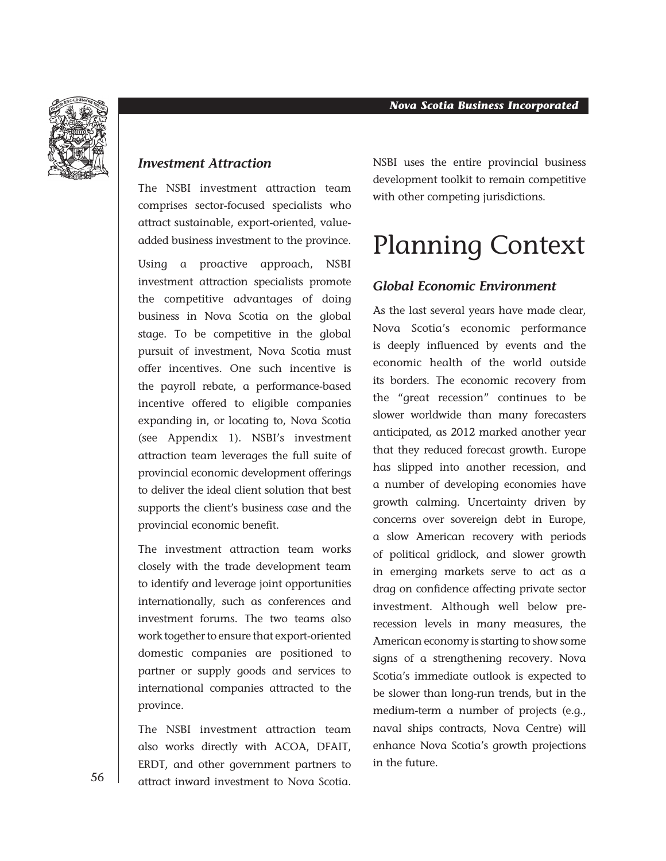

#### *Investment Attraction*

The NSBI investment attraction team comprises sector-focused specialists who attract sustainable, export-oriented, valueadded business investment to the province.

Using a proactive approach, NSBI investment attraction specialists promote the competitive advantages of doing business in Nova Scotia on the global stage. To be competitive in the global pursuit of investment, Nova Scotia must offer incentives. One such incentive is the payroll rebate, a performance-based incentive offered to eligible companies expanding in, or locating to, Nova Scotia (see Appendix 1). NSBI's investment attraction team leverages the full suite of provincial economic development offerings to deliver the ideal client solution that best supports the client's business case and the provincial economic benefit.

The investment attraction team works closely with the trade development team to identify and leverage joint opportunities internationally, such as conferences and investment forums. The two teams also work together to ensure that export-oriented domestic companies are positioned to partner or supply goods and services to international companies attracted to the province.

The NSBI investment attraction team also works directly with ACOA, DFAIT, ERDT, and other government partners to attract inward investment to Nova Scotia.

NSBI uses the entire provincial business development toolkit to remain competitive with other competing jurisdictions.

# Planning Context

#### *Global Economic Environment*

As the last several years have made clear, Nova Scotia's economic performance is deeply influenced by events and the economic health of the world outside its borders. The economic recovery from the "great recession" continues to be slower worldwide than many forecasters anticipated, as 2012 marked another year that they reduced forecast growth. Europe has slipped into another recession, and a number of developing economies have growth calming. Uncertainty driven by concerns over sovereign debt in Europe, a slow American recovery with periods of political gridlock, and slower growth in emerging markets serve to act as a drag on confidence affecting private sector investment. Although well below prerecession levels in many measures, the American economy is starting to show some signs of a strengthening recovery. Nova Scotia's immediate outlook is expected to be slower than long-run trends, but in the medium-term a number of projects (e.g., naval ships contracts, Nova Centre) will enhance Nova Scotia's growth projections in the future.

56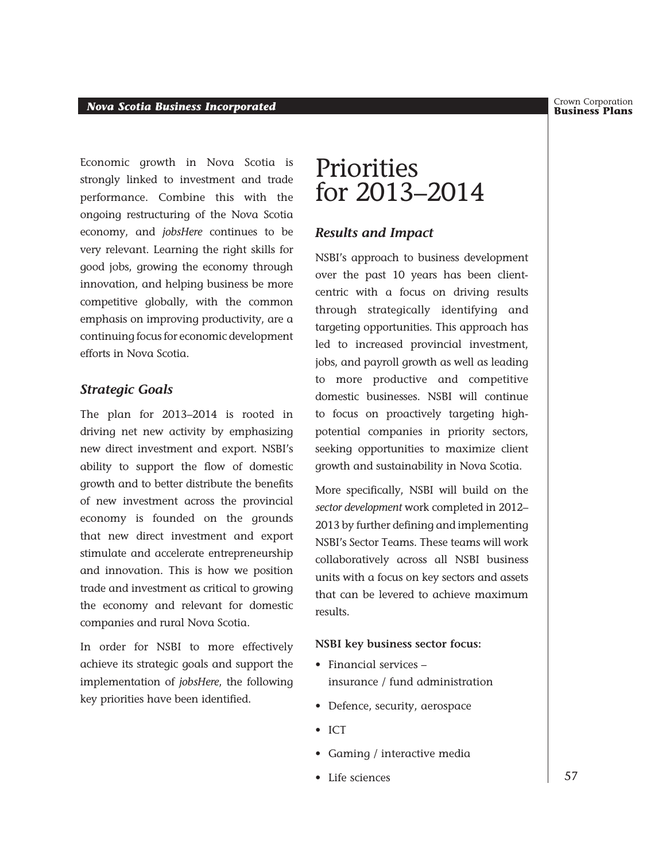Crown Corporation<br>**Business Plans** 

Economic growth in Nova Scotia is strongly linked to investment and trade performance. Combine this with the ongoing restructuring of the Nova Scotia economy, and *jobsHere* continues to be very relevant. Learning the right skills for good jobs, growing the economy through innovation, and helping business be more competitive globally, with the common emphasis on improving productivity, are a continuing focus for economic development efforts in Nova Scotia.

#### *Strategic Goals*

The plan for 2013–2014 is rooted in driving net new activity by emphasizing new direct investment and export. NSBI's ability to support the flow of domestic growth and to better distribute the benefits of new investment across the provincial economy is founded on the grounds that new direct investment and export stimulate and accelerate entrepreneurship and innovation. This is how we position trade and investment as critical to growing the economy and relevant for domestic companies and rural Nova Scotia.

In order for NSBI to more effectively achieve its strategic goals and support the implementation of *jobsHere*, the following key priorities have been identified.

### **Priorities** for 2013–2014

#### *Results and Impact*

NSBI's approach to business development over the past 10 years has been clientcentric with a focus on driving results through strategically identifying and targeting opportunities. This approach has led to increased provincial investment, jobs, and payroll growth as well as leading to more productive and competitive domestic businesses. NSBI will continue to focus on proactively targeting highpotential companies in priority sectors, seeking opportunities to maximize client growth and sustainability in Nova Scotia.

More specifically, NSBI will build on the *sector development* work completed in 2012– 2013 by further defining and implementing NSBI's Sector Teams. These teams will work collaboratively across all NSBI business units with a focus on key sectors and assets that can be levered to achieve maximum results.

#### **NSBI key business sector focus:**

- Financial services insurance / fund administration
- Defence, security, aerospace
- ICT
- Gaming / interactive media
- Life sciences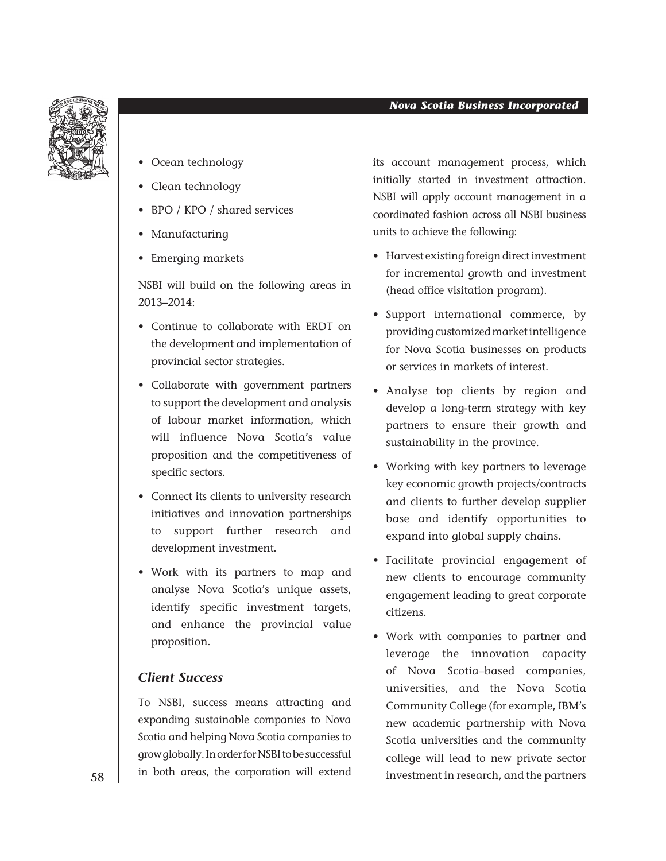

#### *Nova Scotia Business Incorporated*

- Ocean technology
- Clean technology
- BPO / KPO / shared services
- Manufacturing
- Emerging markets

NSBI will build on the following areas in 2013–2014:

- Continue to collaborate with ERDT on the development and implementation of provincial sector strategies.
- Collaborate with government partners to support the development and analysis of labour market information, which will influence Nova Scotia's value proposition and the competitiveness of specific sectors.
- Connect its clients to university research initiatives and innovation partnerships to support further research and development investment.
- Work with its partners to map and analyse Nova Scotia's unique assets, identify specific investment targets, and enhance the provincial value proposition.

#### *Client Success*

To NSBI, success means attracting and expanding sustainable companies to Nova Scotia and helping Nova Scotia companies to grow globally. In order for NSBI to be successful in both areas, the corporation will extend

its account management process, which initially started in investment attraction. NSBI will apply account management in a coordinated fashion across all NSBI business units to achieve the following:

- Harvest existing foreign direct investment for incremental growth and investment (head office visitation program).
- Support international commerce, by providing customized market intelligence for Nova Scotia businesses on products or services in markets of interest.
- Analyse top clients by region and develop a long-term strategy with key partners to ensure their growth and sustainability in the province.
- Working with key partners to leverage key economic growth projects/contracts and clients to further develop supplier base and identify opportunities to expand into global supply chains.
- Facilitate provincial engagement of new clients to encourage community engagement leading to great corporate citizens.
- Work with companies to partner and leverage the innovation capacity of Nova Scotia–based companies, universities, and the Nova Scotia Community College (for example, IBM's new academic partnership with Nova Scotia universities and the community college will lead to new private sector investment in research, and the partners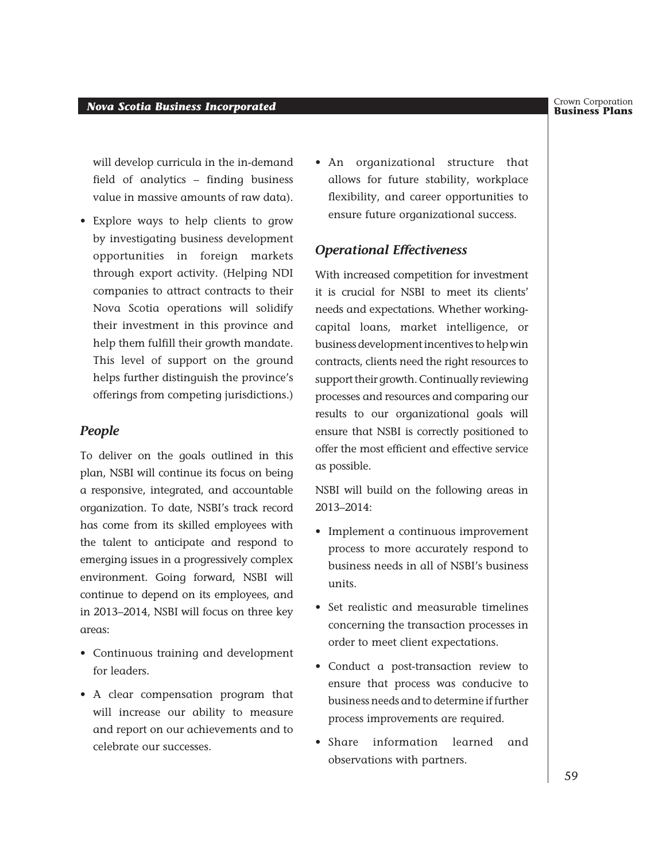#### *Business Incorporated* **Business** *Incorporated* **Business Plans** *Business Plans*

will develop curricula in the in-demand field of analytics – finding business value in massive amounts of raw data).

• Explore ways to help clients to grow by investigating business development opportunities in foreign markets through export activity. (Helping NDI companies to attract contracts to their Nova Scotia operations will solidify their investment in this province and help them fulfill their growth mandate. This level of support on the ground helps further distinguish the province's offerings from competing jurisdictions.)

#### *People*

To deliver on the goals outlined in this plan, NSBI will continue its focus on being a responsive, integrated, and accountable organization. To date, NSBI's track record has come from its skilled employees with the talent to anticipate and respond to emerging issues in a progressively complex environment. Going forward, NSBI will continue to depend on its employees, and in 2013–2014, NSBI will focus on three key areas:

- Continuous training and development for leaders.
- A clear compensation program that will increase our ability to measure and report on our achievements and to celebrate our successes.

• An organizational structure that allows for future stability, workplace flexibility, and career opportunities to ensure future organizational success.

#### *Operational Effectiveness*

With increased competition for investment it is crucial for NSBI to meet its clients' needs and expectations. Whether workingcapital loans, market intelligence, or business development incentives to help win contracts, clients need the right resources to support their growth. Continually reviewing processes and resources and comparing our results to our organizational goals will ensure that NSBI is correctly positioned to offer the most efficient and effective service as possible.

NSBI will build on the following areas in 2013–2014:

- Implement a continuous improvement process to more accurately respond to business needs in all of NSBI's business units.
- Set realistic and measurable timelines concerning the transaction processes in order to meet client expectations.
- Conduct a post-transaction review to ensure that process was conducive to business needs and to determine if further process improvements are required.
- Share information learned and observations with partners.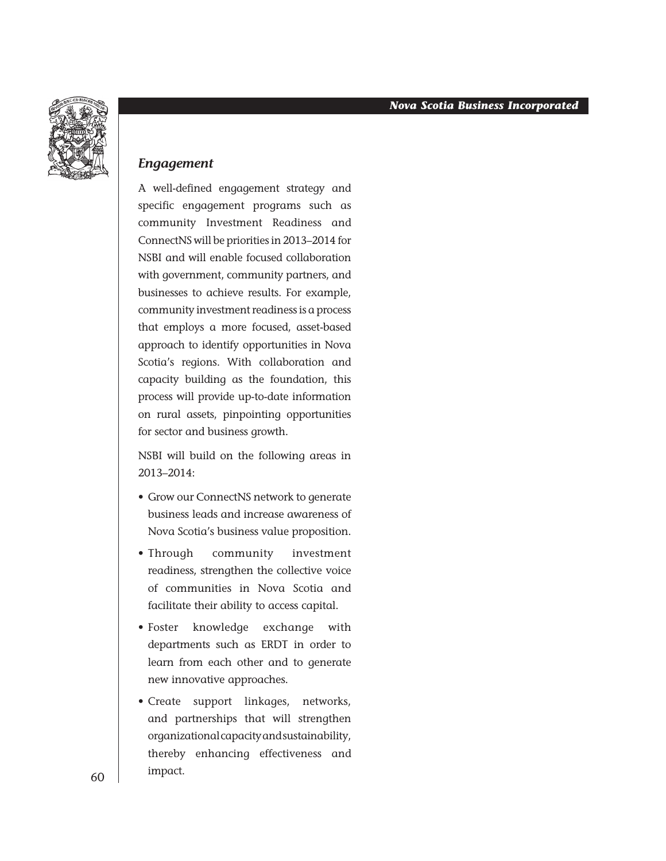

#### *Engagement*

A well-defined engagement strategy and specific engagement programs such as community Investment Readiness and ConnectNS will be priorities in 2013–2014 for NSBI and will enable focused collaboration with government, community partners, and businesses to achieve results. For example, community investment readiness is a process that employs a more focused, asset-based approach to identify opportunities in Nova Scotia's regions. With collaboration and capacity building as the foundation, this process will provide up-to-date information on rural assets, pinpointing opportunities for sector and business growth.

NSBI will build on the following areas in 2013–2014:

- Grow our ConnectNS network to generate business leads and increase awareness of Nova Scotia's business value proposition.
- Through community investment readiness, strengthen the collective voice of communities in Nova Scotia and facilitate their ability to access capital.
- Foster knowledge exchange with departments such as ERDT in order to learn from each other and to generate new innovative approaches.
- Create support linkages, networks, and partnerships that will strengthen organizational capacity and sustainability, thereby enhancing effectiveness and impact.

60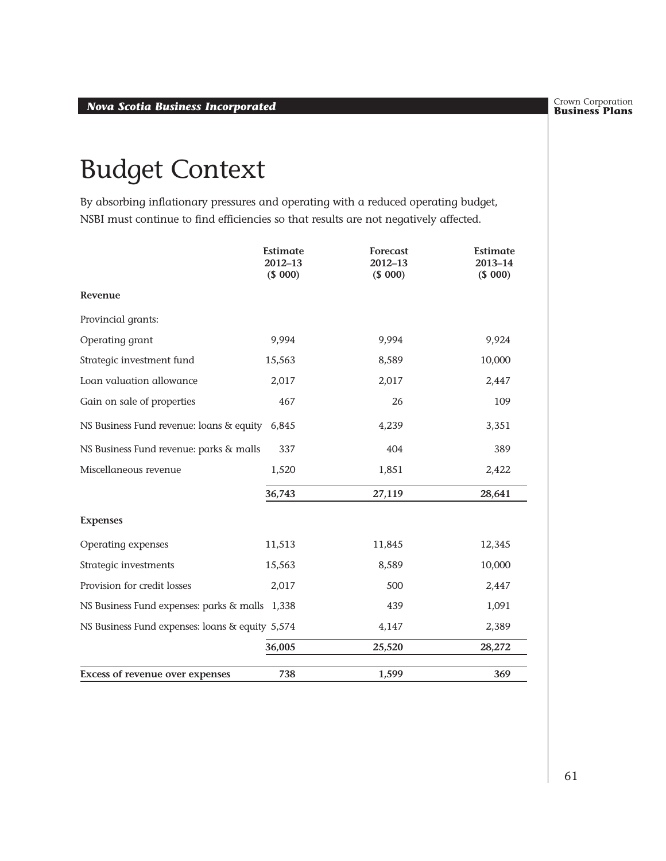Crown Corporation<br>**Business Plans** 

# Budget Context

By absorbing inflationary pressures and operating with a reduced operating budget, NSBI must continue to find efficiencies so that results are not negatively affected.

|                                                 | <b>Estimate</b><br>2012-13<br>(\$000) | Forecast<br>2012-13<br>(\$000) | <b>Estimate</b><br>2013-14<br>(\$000) |
|-------------------------------------------------|---------------------------------------|--------------------------------|---------------------------------------|
| Revenue                                         |                                       |                                |                                       |
| Provincial grants:                              |                                       |                                |                                       |
| Operating grant                                 | 9,994                                 | 9,994                          | 9,924                                 |
| Strategic investment fund                       | 15,563                                | 8,589                          | 10,000                                |
| Loan valuation allowance                        | 2,017                                 | 2,017                          | 2,447                                 |
| Gain on sale of properties                      | 467                                   | 26                             | 109                                   |
| NS Business Fund revenue: loans & equity 6,845  |                                       | 4,239                          | 3,351                                 |
| NS Business Fund revenue: parks & malls         | 337                                   | 404                            | 389                                   |
| Miscellaneous revenue                           | 1,520                                 | 1,851                          | 2,422                                 |
|                                                 | 36,743                                | 27,119                         | 28,641                                |
| <b>Expenses</b>                                 |                                       |                                |                                       |
| Operating expenses                              | 11,513                                | 11,845                         | 12,345                                |
| Strategic investments                           | 15,563                                | 8,589                          | 10,000                                |
| Provision for credit losses                     | 2,017                                 | 500                            | 2,447                                 |
| NS Business Fund expenses: parks & malls 1,338  |                                       | 439                            | 1,091                                 |
| NS Business Fund expenses: loans & equity 5,574 |                                       | 4,147                          | 2,389                                 |
|                                                 | 36,005                                | 25,520                         | 28,272                                |
| Excess of revenue over expenses                 | 738                                   | 1,599                          | 369                                   |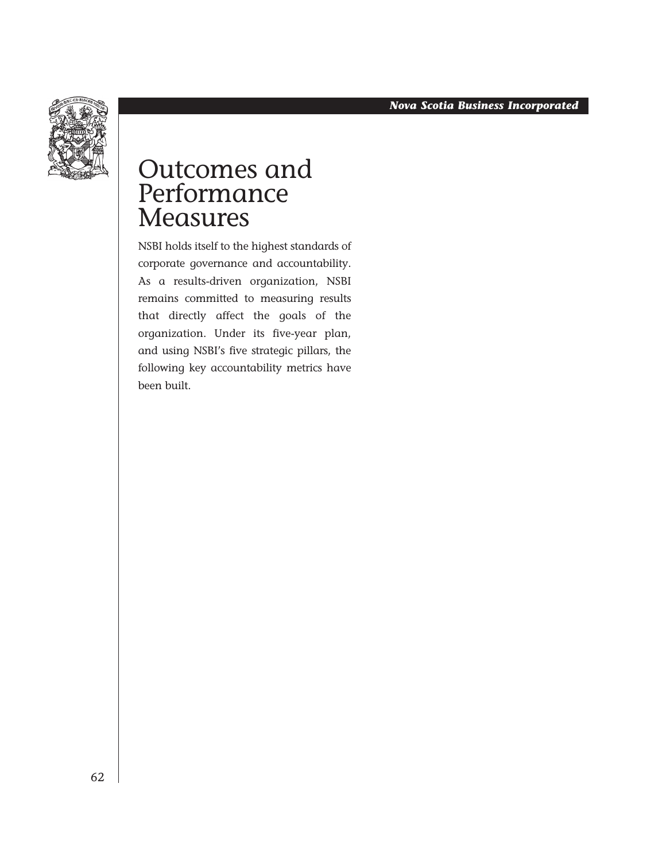

## Outcomes and **Performance Measures**

NSBI holds itself to the highest standards of corporate governance and accountability. As a results-driven organization, NSBI remains committed to measuring results that directly affect the goals of the organization. Under its five-year plan, and using NSBI's five strategic pillars, the following key accountability metrics have been built.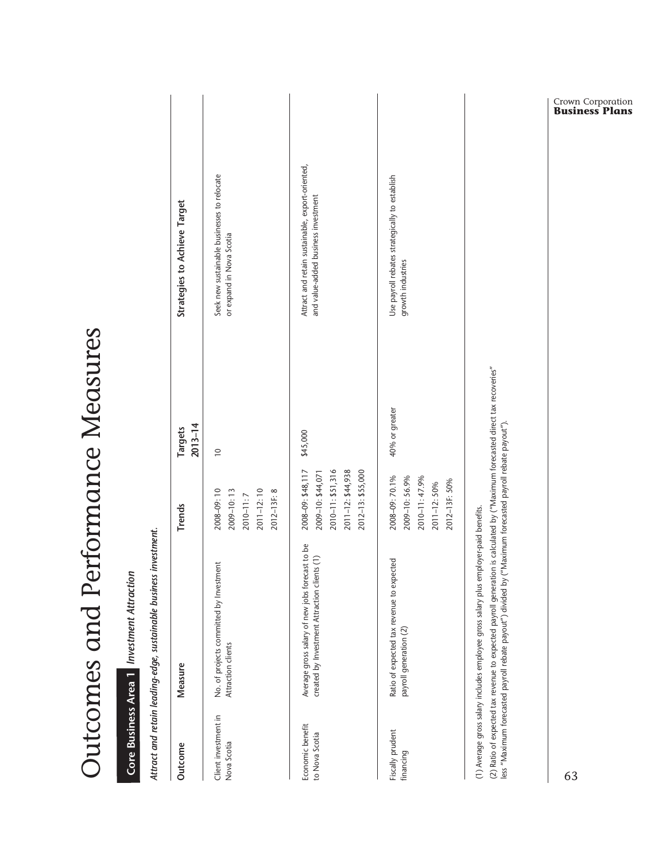| <b>CVAFFにくく</b><br>ر<br>ر<br>۱             |  |
|--------------------------------------------|--|
| こ つくとつ ろうさくせん<br>)<br> <br> <br>(~)()<br>ŧ |  |
| $\overline{\phantom{a}}$<br>)<br> <br>     |  |
| てくら こくろく<br>)<br>)<br>1<br>ミノソノシ<br>I      |  |

# Core Business Area 1 Investment Attraction  *Investment Attraction* **Core Business Area 1**

Attract and retain leading-edge, sustainable business investment. *Attract and retain leading-edge, sustainable business investment.* 

|                                     | And her all a left in the light of the product of the same of the second of the second of the second of the second of the second of the second of the second of the second of the second of the second of the second of the se                                                                                                     |                                                                                                        |                        |                                                                                         |
|-------------------------------------|------------------------------------------------------------------------------------------------------------------------------------------------------------------------------------------------------------------------------------------------------------------------------------------------------------------------------------|--------------------------------------------------------------------------------------------------------|------------------------|-----------------------------------------------------------------------------------------|
| Outcome                             | Measure                                                                                                                                                                                                                                                                                                                            | Trends                                                                                                 | $2013 - 14$<br>Targets | Strategies to Achieve Target                                                            |
| Client investment in<br>Nova Scotia | No. of projects committed by Investment<br>Attraction clients                                                                                                                                                                                                                                                                      | 2011-12:10<br>2008-09:10<br>$2009 - 10:13$<br>2012-13F: 8<br>2010-11:7                                 | $\overline{0}$         | Seek new sustainable businesses to relocate<br>or expand in Nova Scotia                 |
| Economic benefit<br>to Nova Scotia  | Average gross salary of new jobs forecast to be<br>created by Investment Attraction clients (1)                                                                                                                                                                                                                                    | 2008-09: \$48, 117<br>2010-11: \$51,316<br>2011-12: \$44,938<br>2012-13: \$55,000<br>2009-10: \$44,071 | \$45,000               | Attract and retain sustainable, export-oriented,<br>and value-added business investment |
| Fiscally prudent<br>financing       | Ratio of expected tax revenue to expected<br>payroll generation (2)                                                                                                                                                                                                                                                                | 2008-09: 70.1%<br>2009-10: 56.9%<br>2010-11:47.9%<br>2012-13F: 50%<br>2011-12:50%                      | 40% or greater         | Use payroll rebates strategically to establish<br>growth industries                     |
|                                     | (2) Ratio of expected tax revenue to expected payroll generation is calculated by ("Maximum forecasted direct tax recoveries"<br>less "Maximum forecasted payroll rebate payout") divided by ("Maximum forecasted payroll rebate payout").<br>(1) Average gross salary includes employee gross salary plus employer-paid benefits. |                                                                                                        |                        |                                                                                         |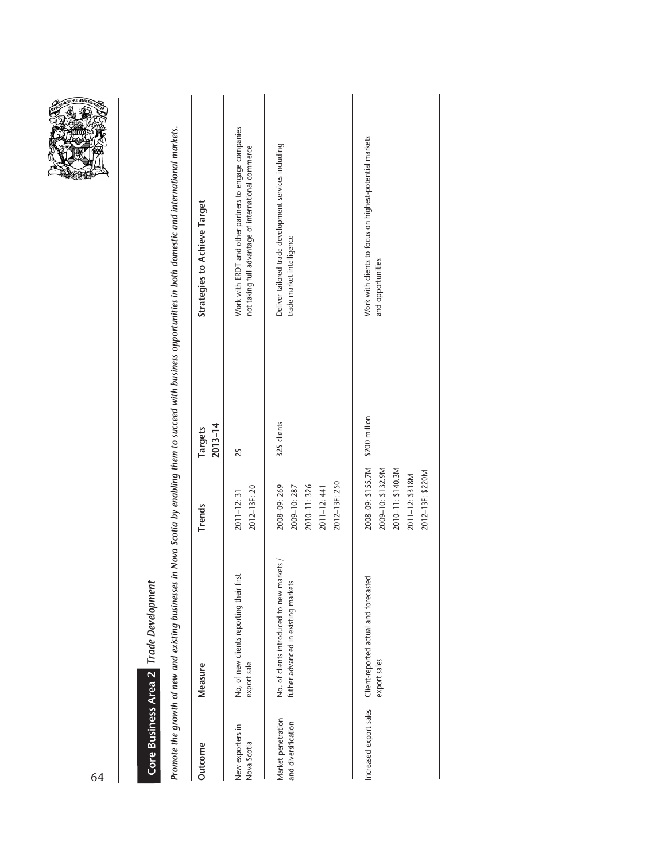| <b>MOVEMENT AND REAL PROPERTY AND REAL PROPERTY</b> |
|-----------------------------------------------------|
|-----------------------------------------------------|

# Core Business Area 2 Trade Development  *Trade Development* **Core Business Area 2**

Promote the growth of new and existing businesses in Nova Scotia by enabling them to succeed with business opportunities in both domestic and international markets. *Promote the growth of new and existing businesses in Nova Scotia by enabling them to succeed with business opportunities in both domestic and international markets.*

| Outcome                                   | Measure                                                                           | <b>Trends</b>                                                                                      | $2013 - 14$<br>Targets | <b>Strategies to Achieve Target</b>                                                                          |
|-------------------------------------------|-----------------------------------------------------------------------------------|----------------------------------------------------------------------------------------------------|------------------------|--------------------------------------------------------------------------------------------------------------|
| New exporters in<br>Nova Scotia           | No, of new clients reporting their first<br>export sale                           | 2012-13F: 20<br>$2011 - 12:31$                                                                     | 25                     | Work with ERDT and other partners to engage companies<br>not taking full advantage of international commerce |
| Market penetration<br>and diversification | No. of clients introduced to new markets /<br>futher advanced in existing markets | 2012-13F: 250<br>2008-09: 269<br>2010-11:326<br>2009-10:287<br>$2011 - 12:441$                     | 325 clients            | Deliver tailored trade development services including<br>trade market intelligence                           |
| Increased export sales                    | Client-reported actual and forecasted<br>export sales                             | 2008-09: \$155.7M<br>2009-10: \$132.9M<br>2010-11: \$140.3M<br>2012-13F: \$220M<br>2011-12: \$318M | \$200 million          | Work with clients to focus on highest-potential markets<br>and opportunities                                 |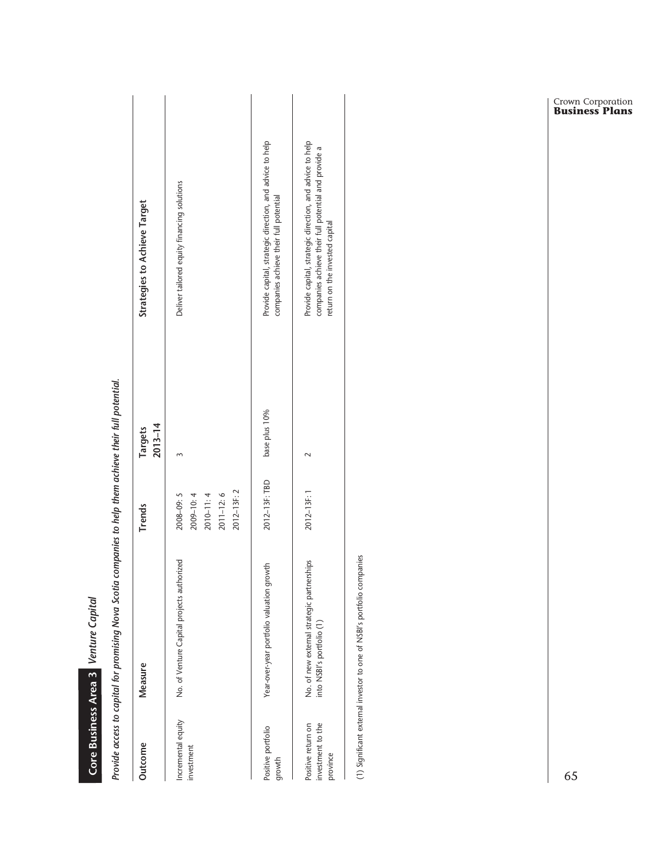|                                                     | Provide access to capital for promising Nova Scotia companies to help them achieve their full potential.<br>Core Business Area 3 Venture Capital |                                                                         |                        |                                                                                                                                                    |
|-----------------------------------------------------|--------------------------------------------------------------------------------------------------------------------------------------------------|-------------------------------------------------------------------------|------------------------|----------------------------------------------------------------------------------------------------------------------------------------------------|
| Outcome                                             | Measure                                                                                                                                          | <b>Trends</b>                                                           | $2013 - 14$<br>Targets | Strategies to Achieve Target                                                                                                                       |
| Incremental equity<br>investment                    | No. of Venture Capital projects authorized                                                                                                       | 2012-13F: 2<br>$2010 - 11:4$<br>$2011 - 12:6$<br>2009-10:4<br>2008-09:5 | $\sim$                 | Deliver tailored equity financing solutions                                                                                                        |
| Positive portfolio<br>growth                        | Year-over-year portfolio valuation growth                                                                                                        | 2012-13F: TBD                                                           | base plus 10%          | Provide capital, strategic direction, and advice to help<br>companies achieve their full potential                                                 |
| investment to the<br>Positive return on<br>province | No. of new external strategic partnerships<br>into NSBI's portfolio (1)                                                                          | 2012-13F: 1                                                             | $\sim$                 | Provide capital, strategic direction, and advice to help<br>companies achieve their full potential and provide a<br>return on the invested capital |
|                                                     | (1) Significant external investor to one of NSBI's portfolio companies                                                                           |                                                                         |                        |                                                                                                                                                    |
| 65                                                  |                                                                                                                                                  |                                                                         |                        | <b>Crown Corporation</b><br><b>Business Plans</b>                                                                                                  |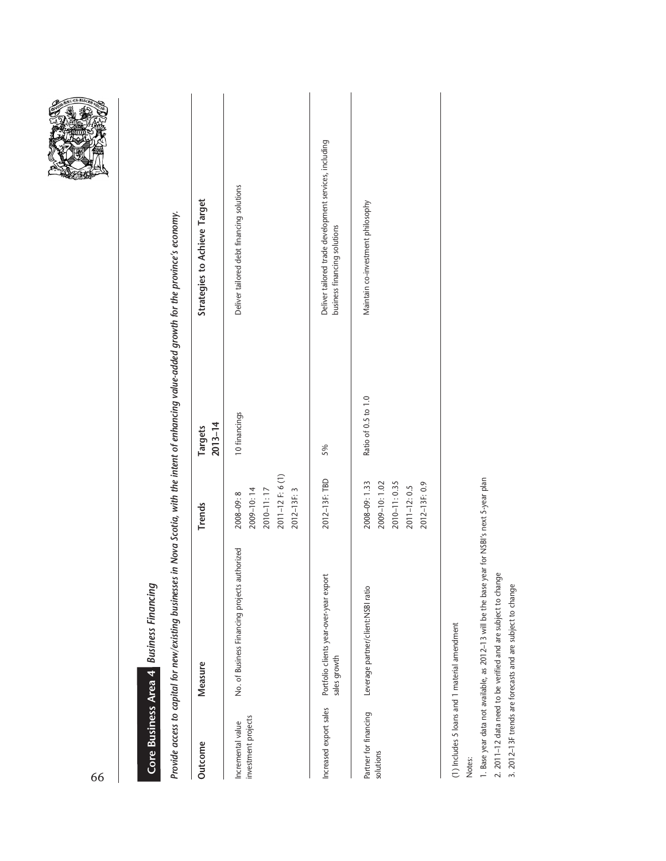| 66                                       |                                                                                                                                                   |                                                                                  |                        |                                                                                        |
|------------------------------------------|---------------------------------------------------------------------------------------------------------------------------------------------------|----------------------------------------------------------------------------------|------------------------|----------------------------------------------------------------------------------------|
|                                          | Core Business Area 4 Business Financing                                                                                                           |                                                                                  |                        |                                                                                        |
|                                          | Provide access to capital for new/existing businesses in Nova Scotia, with the intent of enhancing value-added growth for the province's economy. |                                                                                  |                        |                                                                                        |
| Outcome                                  | Measure                                                                                                                                           | <b>Trends</b>                                                                    | $2013 - 14$<br>Targets | Strategies to Achieve Target                                                           |
| investment projects<br>Incremental value | No. of Business Financing projects authorized                                                                                                     | 2011-12 F: 6 (1)<br>2012-13F: 3<br>2009-10:14<br>2010-11:17<br>2008-09:8         | 10 financings          | Deliver tailored debt financing solutions                                              |
| Increased export sales                   | Portfolio clients year-over-year export<br>sales growth                                                                                           | 2012-13F: TBD                                                                    | 5%                     | Deliver tailored trade development services, including<br>business financing solutions |
| Partner for financing<br>solutions       | Leverage partner/client:NSBI ratio                                                                                                                | 2008-09:1.33<br>2010-11:0.35<br>2012-13F: 0.9<br>2009-10:1.02<br>$2011 - 12:0.5$ | Ratio of 0.5 to 1.0    | Maintain co-investment philosophy                                                      |
| Notes:                                   | (1) Includes 5 loans and 1 material amendment                                                                                                     |                                                                                  |                        |                                                                                        |

1. Base year data not available, as 2012-13 will be the base year for NSBI's next 5-year plan 1. Base year data not available, as 2012–13 will be the base year for NSBI's next 5-year plan 2. 2011-12 data need to be verified and are subject to change

2. 2011–12 data need to be verified and are subject to change 3. 2012-13F trends are forecasts and are subject to change 3. 2012–13F trends are forecasts and are subject to change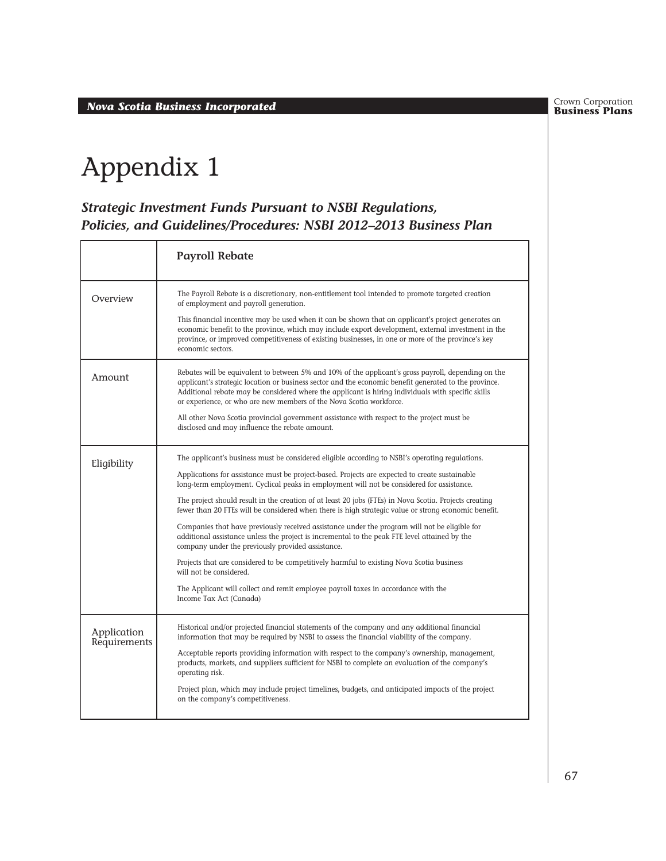**Business Plans** *Nova Scotia Business Incorporated*

Crown Corporation<br>**Business Plans** 

# Appendix 1

#### *Strategic Investment Funds Pursuant to NSBI Regulations, Policies, and Guidelines/Procedures: NSBI 2012–2013 Business Plan*

|                             | <b>Payroll Rebate</b>                                                                                                                                                                                                                                                                                                                                                                     |
|-----------------------------|-------------------------------------------------------------------------------------------------------------------------------------------------------------------------------------------------------------------------------------------------------------------------------------------------------------------------------------------------------------------------------------------|
| Overview                    | The Payroll Rebate is a discretionary, non-entitlement tool intended to promote targeted creation<br>of employment and payroll generation.                                                                                                                                                                                                                                                |
|                             | This financial incentive may be used when it can be shown that an applicant's project generates an<br>economic benefit to the province, which may include export development, external investment in the<br>province, or improved competitiveness of existing businesses, in one or more of the province's key<br>economic sectors.                                                       |
| Amount                      | Rebates will be equivalent to between 5% and 10% of the applicant's gross payroll, depending on the<br>applicant's strategic location or business sector and the economic benefit generated to the province.<br>Additional rebate may be considered where the applicant is hiring individuals with specific skills<br>or experience, or who are new members of the Nova Scotia workforce. |
|                             | All other Nova Scotia provincial government assistance with respect to the project must be<br>disclosed and may influence the rebate amount.                                                                                                                                                                                                                                              |
| Eligibility                 | The applicant's business must be considered eligible according to NSBI's operating regulations.                                                                                                                                                                                                                                                                                           |
|                             | Applications for assistance must be project-based. Projects are expected to create sustainable<br>long-term employment. Cyclical peaks in employment will not be considered for assistance.                                                                                                                                                                                               |
|                             | The project should result in the creation of at least 20 jobs (FTEs) in Nova Scotia. Projects creating<br>fewer than 20 FTEs will be considered when there is high strategic value or strong economic benefit.                                                                                                                                                                            |
|                             | Companies that have previously received assistance under the program will not be eligible for<br>additional assistance unless the project is incremental to the peak FTE level attained by the<br>company under the previously provided assistance.                                                                                                                                       |
|                             | Projects that are considered to be competitively harmful to existing Nova Scotia business<br>will not be considered.                                                                                                                                                                                                                                                                      |
|                             | The Applicant will collect and remit employee payroll taxes in accordance with the<br>Income Tax Act (Canada)                                                                                                                                                                                                                                                                             |
| Application<br>Requirements | Historical and/or projected financial statements of the company and any additional financial<br>information that may be required by NSBI to assess the financial viability of the company.                                                                                                                                                                                                |
|                             | Acceptable reports providing information with respect to the company's ownership, management,<br>products, markets, and suppliers sufficient for NSBI to complete an evaluation of the company's<br>operating risk.                                                                                                                                                                       |
|                             | Project plan, which may include project timelines, budgets, and anticipated impacts of the project<br>on the company's competitiveness.                                                                                                                                                                                                                                                   |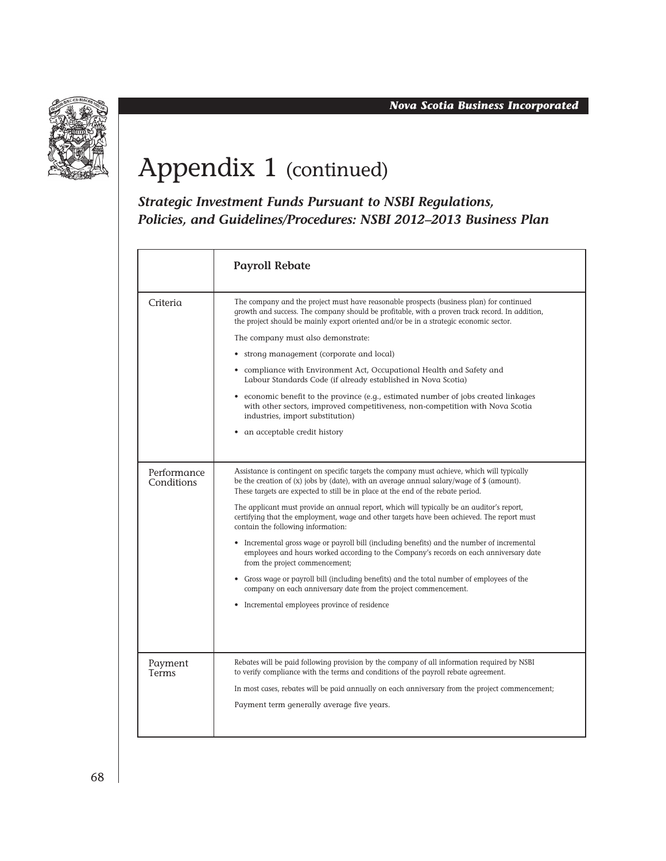

# Appendix 1 (continued)

*Strategic Investment Funds Pursuant to NSBI Regulations, Policies, and Guidelines/Procedures: NSBI 2012–2013 Business Plan*

|                           | <b>Payroll Rebate</b>                                                                                                                                                                                                                                                                     |
|---------------------------|-------------------------------------------------------------------------------------------------------------------------------------------------------------------------------------------------------------------------------------------------------------------------------------------|
| Criteria                  | The company and the project must have reasonable prospects (business plan) for continued<br>growth and success. The company should be profitable, with a proven track record. In addition,<br>the project should be mainly export oriented and/or be in a strategic economic sector.      |
|                           | The company must also demonstrate:                                                                                                                                                                                                                                                        |
|                           | • strong management (corporate and local)                                                                                                                                                                                                                                                 |
|                           | • compliance with Environment Act, Occupational Health and Safety and<br>Labour Standards Code (if already established in Nova Scotia)                                                                                                                                                    |
|                           | • economic benefit to the province (e.g., estimated number of jobs created linkages<br>with other sectors, improved competitiveness, non-competition with Nova Scotia<br>industries, import substitution)                                                                                 |
|                           | • an acceptable credit history                                                                                                                                                                                                                                                            |
|                           |                                                                                                                                                                                                                                                                                           |
| Performance<br>Conditions | Assistance is contingent on specific targets the company must achieve, which will typically<br>be the creation of $(x)$ jobs by (date), with an average annual salary/wage of $\frac{1}{2}$ (amount).<br>These targets are expected to still be in place at the end of the rebate period. |
|                           | The applicant must provide an annual report, which will typically be an auditor's report,<br>certifying that the employment, wage and other targets have been achieved. The report must<br>contain the following information:                                                             |
|                           | Incremental gross wage or payroll bill (including benefits) and the number of incremental<br>employees and hours worked according to the Company's records on each anniversary date<br>from the project commencement;                                                                     |
|                           | • Gross wage or payroll bill (including benefits) and the total number of employees of the<br>company on each anniversary date from the project commencement.                                                                                                                             |
|                           | • Incremental employees province of residence                                                                                                                                                                                                                                             |
|                           |                                                                                                                                                                                                                                                                                           |
| Payment<br>Terms          | Rebates will be paid following provision by the company of all information required by NSBI<br>to verify compliance with the terms and conditions of the payroll rebate agreement.                                                                                                        |
|                           | In most cases, rebates will be paid annually on each anniversary from the project commencement;                                                                                                                                                                                           |
|                           | Payment term generally average five years.                                                                                                                                                                                                                                                |
|                           |                                                                                                                                                                                                                                                                                           |